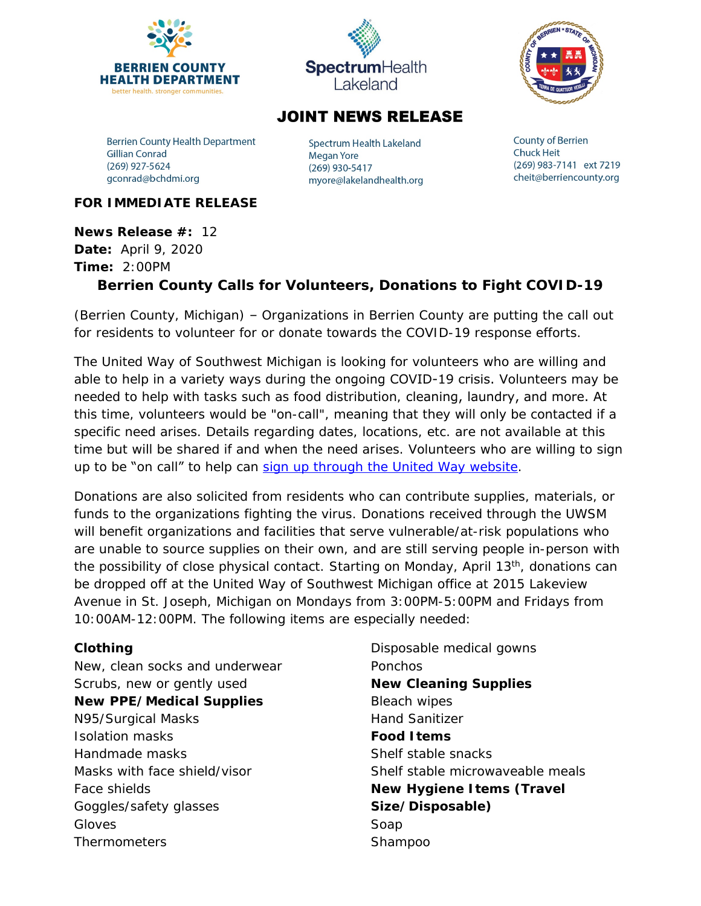



## **JOINT NEWS RELEASE**

**Berrien County Health Department Gillian Conrad** (269) 927-5624 gconrad@bchdmi.org

Spectrum Health Lakeland **Megan Yore** (269) 930-5417 myore@lakelandhealth.org **County of Berrien Chuck Heit** (269) 983-7141 ext 7219 cheit@berriencounty.org

### **FOR IMMEDIATE RELEASE**

**News Release #:** 12 **Date:** April 9, 2020 **Time:** 2:00PM **Berrien County Calls for Volunteers, Donations to Fight COVID-19**

(Berrien County, Michigan) – Organizations in Berrien County are putting the call out for residents to volunteer for or donate towards the COVID-19 response efforts.

The United Way of Southwest Michigan is looking for volunteers who are willing and able to help in a variety ways during the ongoing COVID-19 crisis. Volunteers may be needed to help with tasks such as food distribution, cleaning, laundry, and more. At this time, volunteers would be "on-call", meaning that they will only be contacted if a specific need arises. Details regarding dates, locations, etc. are not available at this time but will be shared if and when the need arises. Volunteers who are willing to sign up to be "on call" to help can [sign up through the United Way website](http://uwsm.galaxydigital.com/need/detail/?need_id=512329).

Donations are also solicited from residents who can contribute supplies, materials, or funds to the organizations fighting the virus. Donations received through the UWSM will benefit organizations and facilities that serve vulnerable/at-risk populations who are unable to source supplies on their own, and are still serving people in-person with the possibility of close physical contact. Starting on Monday, April 13<sup>th</sup>, donations can be dropped off at the United Way of Southwest Michigan office at 2015 Lakeview Avenue in St. Joseph, Michigan on Mondays from 3:00PM-5:00PM and Fridays from 10:00AM-12:00PM. The following items are especially needed:

## **Clothing**

New, clean socks and underwear Scrubs, new or gently used **New PPE/Medical Supplies** N95/Surgical Masks Isolation masks Handmade masks Masks with face shield/visor Face shields Goggles/safety glasses Gloves Thermometers

Disposable medical gowns Ponchos **New Cleaning Supplies** Bleach wipes Hand Sanitizer **Food Items** Shelf stable snacks Shelf stable microwaveable meals **New Hygiene Items (Travel Size/Disposable)** Soap Shampoo